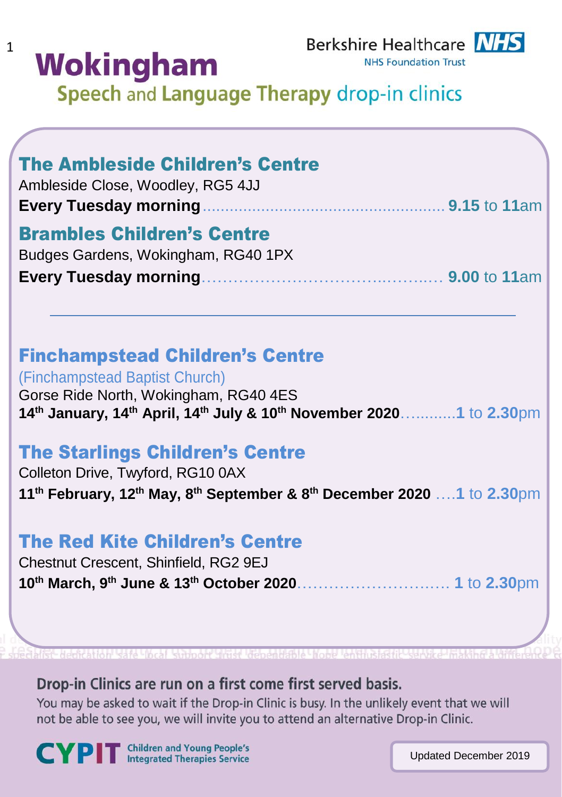# **Wokingham**

 $\mathbf{1}$ 

**NHS Foundation Trust** 

Speech and Language Therapy drop-in clinics

| <b>The Ambleside Children's Centre</b><br>Ambleside Close, Woodley, RG5 4JJ<br><b>Every Tuesday morning</b>                                                                                            |  |
|--------------------------------------------------------------------------------------------------------------------------------------------------------------------------------------------------------|--|
| <b>Brambles Children's Centre</b><br>Budges Gardens, Wokingham, RG40 1PX                                                                                                                               |  |
| <b>Finchampstead Children's Centre</b><br>(Finchampstead Baptist Church)<br>Gorse Ride North, Wokingham, RG40 4ES<br>14th January, 14th April, 14th July & 10th November 20201 to 2.30pm               |  |
| <b>The Starlings Children's Centre</b><br>Colleton Drive, Twyford, RG10 0AX<br>11 <sup>th</sup> February, 12 <sup>th</sup> May, 8 <sup>th</sup> September & 8 <sup>th</sup> December 2020  1 to 2.30pm |  |
| <b>The Red Kite Children's Centre</b><br>Chestnut Crescent, Shinfield, RG2 9EJ                                                                                                                         |  |

Drop-in Clinics are run on a first come first served basis.

You may be asked to wait if the Drop-in Clinic is busy. In the unlikely event that we will not be able to see you, we will invite you to attend an alternative Drop-in Clinic.

CYPIT Children and Young People's

Updated December 2019